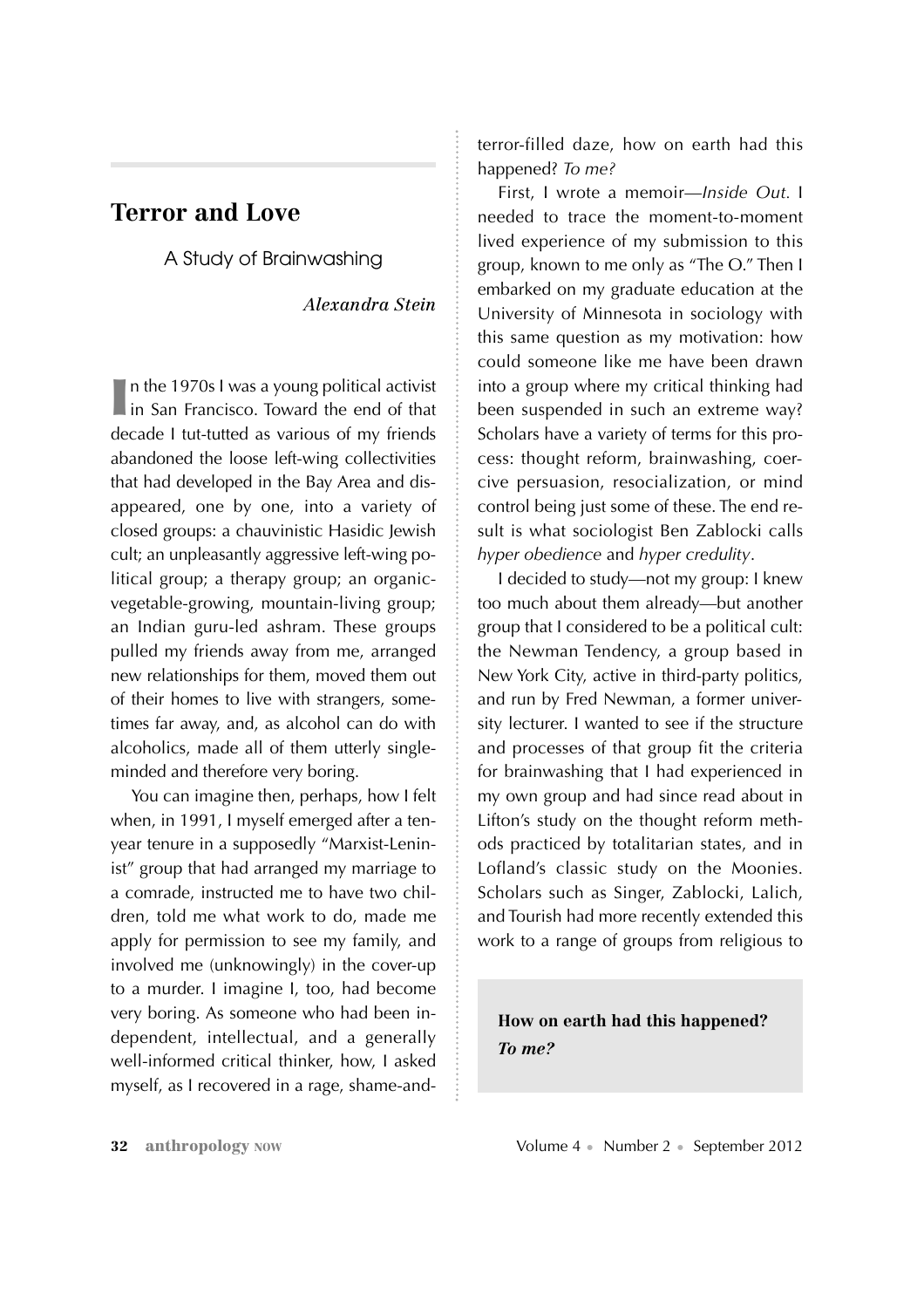# **Terror and Love**

A Study of Brainwashing

*Alexandra Stein*

In the 1970s I was a young political activist<br>in San Francisco. Toward the end of that n the 1970s I was a young political activist decade I tut-tutted as various of my friends abandoned the loose left-wing collectivities that had developed in the Bay Area and disappeared, one by one, into a variety of closed groups: a chauvinistic Hasidic Jewish cult; an unpleasantly aggressive left-wing political group; a therapy group; an organicvegetable-growing, mountain-living group; an Indian guru-led ashram. These groups pulled my friends away from me, arranged new relationships for them, moved them out of their homes to live with strangers, sometimes far away, and, as alcohol can do with alcoholics, made all of them utterly singleminded and therefore very boring.

You can imagine then, perhaps, how I felt when, in 1991, I myself emerged after a tenyear tenure in a supposedly "Marxist-Leninist" group that had arranged my marriage to a comrade, instructed me to have two children, told me what work to do, made me apply for permission to see my family, and involved me (unknowingly) in the cover-up to a murder. I imagine I, too, had become very boring. As someone who had been independent, intellectual, and a generally well-informed critical thinker, how, I asked myself, as I recovered in a rage, shame-andterror-filled daze, how on earth had this happened? *To me?*

First, I wrote a memoir—*Inside Out.* I needed to trace the moment-to-moment lived experience of my submission to this group, known to me only as "The O." Then I embarked on my graduate education at the University of Minnesota in sociology with this same question as my motivation: how could someone like me have been drawn into a group where my critical thinking had been suspended in such an extreme way? Scholars have a variety of terms for this process: thought reform, brainwashing, coercive persuasion, resocialization, or mind control being just some of these. The end result is what sociologist Ben Zablocki calls *hyper obedience* and *hyper credulity*.

I decided to study—not my group: I knew too much about them already—but another group that I considered to be a political cult: the Newman Tendency, a group based in New York City, active in third-party politics, and run by Fred Newman, a former university lecturer. I wanted to see if the structure and processes of that group fit the criteria for brainwashing that I had experienced in my own group and had since read about in Lifton's study on the thought reform methods practiced by totalitarian states, and in Lofland's classic study on the Moonies. Scholars such as Singer, Zablocki, Lalich, and Tourish had more recently extended this work to a range of groups from religious to

**How on earth had this happened?** *To me?*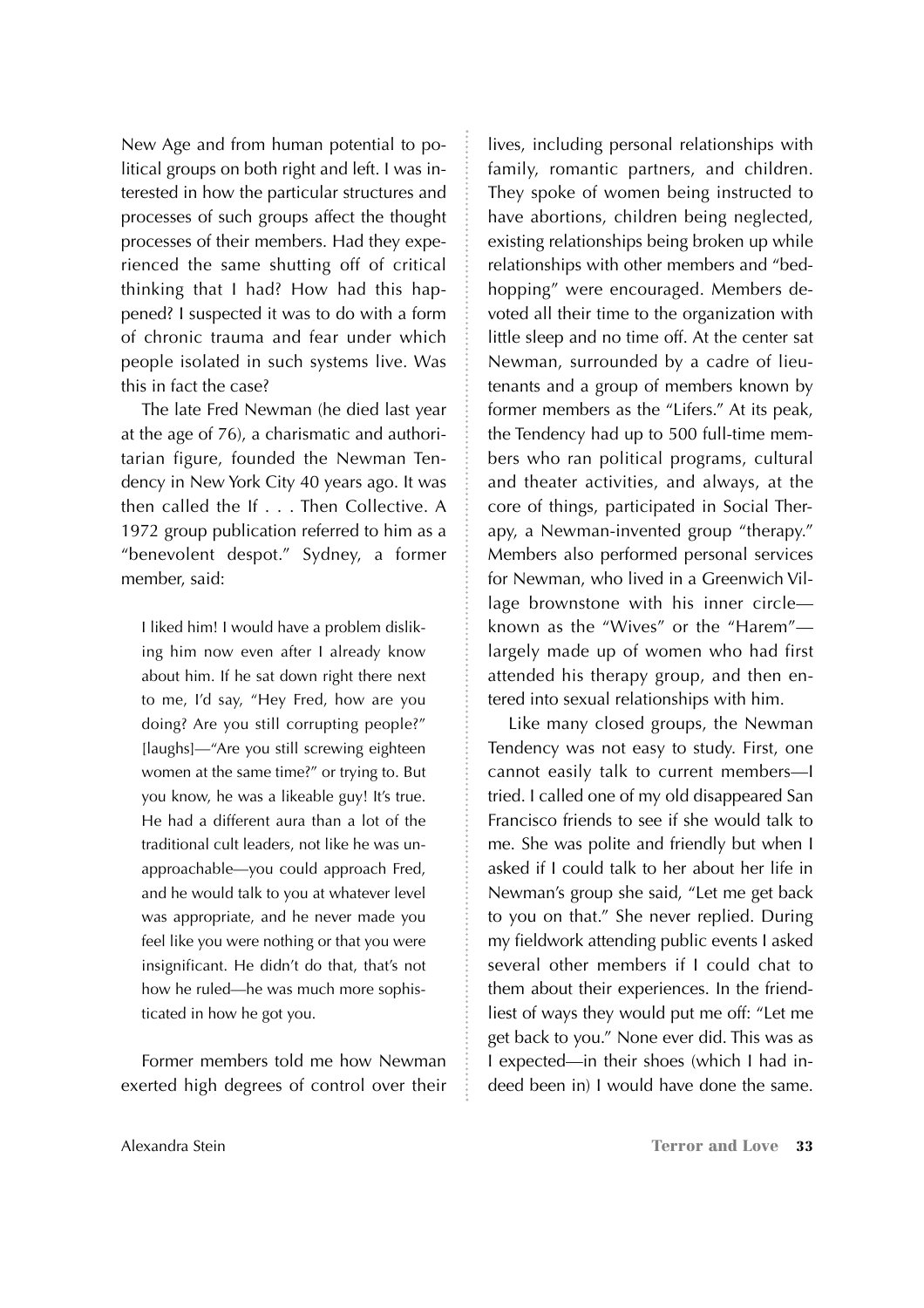New Age and from human potential to political groups on both right and left. I was interested in how the particular structures and processes of such groups affect the thought processes of their members. Had they experienced the same shutting off of critical thinking that I had? How had this happened? I suspected it was to do with a form of chronic trauma and fear under which people isolated in such systems live. Was this in fact the case?

The late Fred Newman (he died last year at the age of 76), a charismatic and authoritarian figure, founded the Newman Tendency in New York City 40 years ago. It was then called the If . . . Then Collective. A 1972 group publication referred to him as a "benevolent despot." Sydney, a former member, said:

I liked him! I would have a problem disliking him now even after I already know about him. If he sat down right there next to me, I'd say, "Hey Fred, how are you doing? Are you still corrupting people?" [laughs]—"Are you still screwing eighteen women at the same time?" or trying to. But you know, he was a likeable guy! It's true. He had a different aura than a lot of the traditional cult leaders, not like he was unapproachable—you could approach Fred, and he would talk to you at whatever level was appropriate, and he never made you feel like you were nothing or that you were insignificant. He didn't do that, that's not how he ruled—he was much more sophisticated in how he got you.

Former members told me how Newman exerted high degrees of control over their lives, including personal relationships with family, romantic partners, and children. They spoke of women being instructed to have abortions, children being neglected, existing relationships being broken up while relationships with other members and "bedhopping" were encouraged. Members devoted all their time to the organization with little sleep and no time off. At the center sat Newman, surrounded by a cadre of lieutenants and a group of members known by former members as the "Lifers." At its peak, the Tendency had up to 500 full-time members who ran political programs, cultural and theater activities, and always, at the core of things, participated in Social Therapy, a Newman-invented group "therapy." Members also performed personal services for Newman, who lived in a Greenwich Village brownstone with his inner circle known as the "Wives" or the "Harem" largely made up of women who had first attended his therapy group, and then entered into sexual relationships with him.

Like many closed groups, the Newman Tendency was not easy to study. First, one cannot easily talk to current members—I tried. I called one of my old disappeared San Francisco friends to see if she would talk to me. She was polite and friendly but when I asked if I could talk to her about her life in Newman's group she said, "Let me get back to you on that." She never replied. During my fieldwork attending public events I asked several other members if I could chat to them about their experiences. In the friendliest of ways they would put me off: "Let me get back to you." None ever did. This was as I expected—in their shoes (which I had indeed been in) I would have done the same.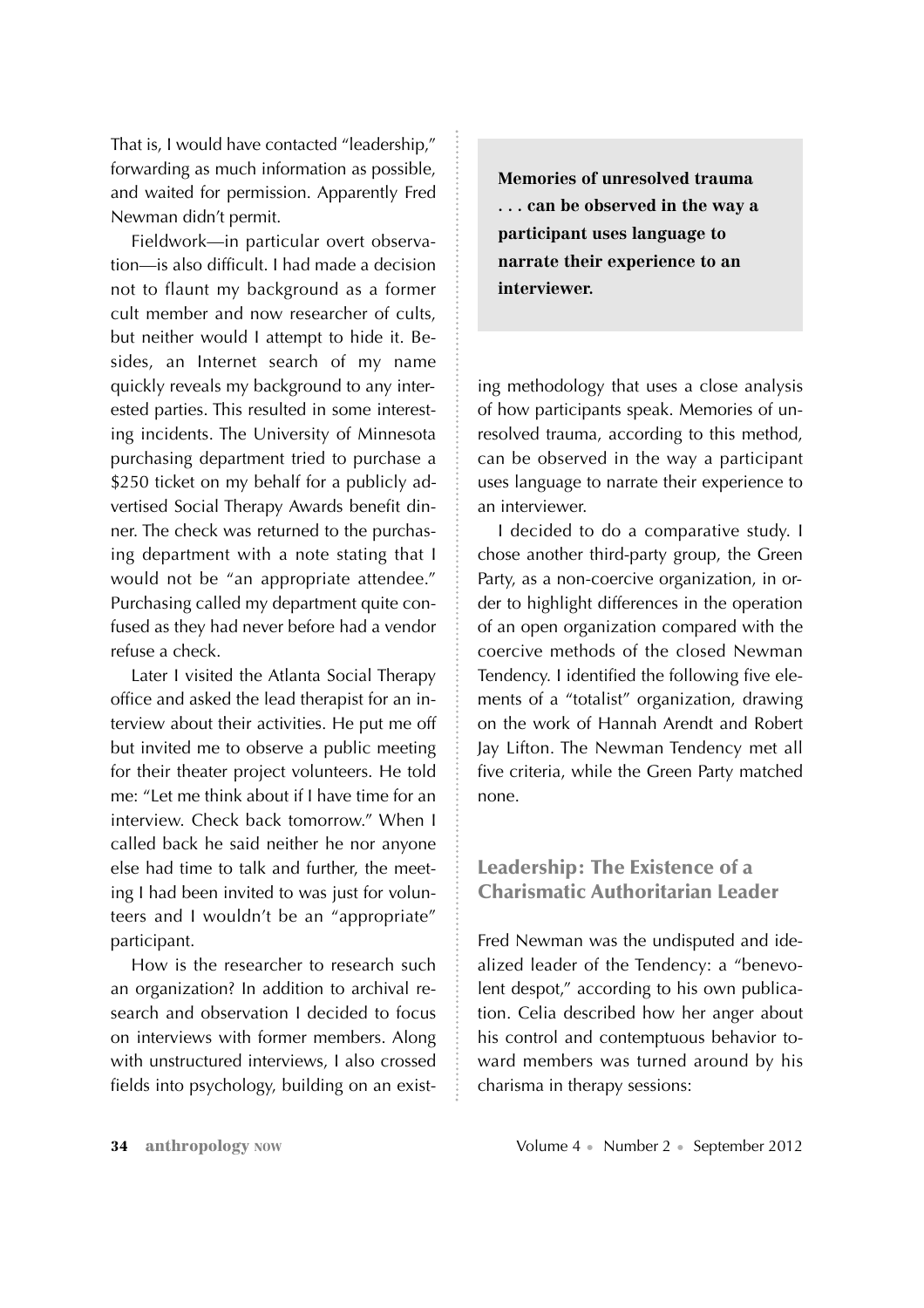That is, I would have contacted "leadership," forwarding as much information as possible, and waited for permission. Apparently Fred Newman didn't permit.

Fieldwork—in particular overt observation—is also difficult. I had made a decision not to flaunt my background as a former cult member and now researcher of cults, but neither would I attempt to hide it. Besides, an Internet search of my name quickly reveals my background to any interested parties. This resulted in some interesting incidents. The University of Minnesota purchasing department tried to purchase a \$250 ticket on my behalf for a publicly advertised Social Therapy Awards benefit dinner. The check was returned to the purchasing department with a note stating that I would not be "an appropriate attendee." Purchasing called my department quite confused as they had never before had a vendor refuse a check.

Later I visited the Atlanta Social Therapy office and asked the lead therapist for an interview about their activities. He put me off but invited me to observe a public meeting for their theater project volunteers. He told me: "Let me think about if I have time for an interview. Check back tomorrow." When I called back he said neither he nor anyone else had time to talk and further, the meeting I had been invited to was just for volunteers and I wouldn't be an "appropriate" participant.

How is the researcher to research such an organization? In addition to archival research and observation I decided to focus on interviews with former members. Along with unstructured interviews, I also crossed fields into psychology, building on an exist**Memories of unresolved trauma . . . can be observed in the way a participant uses language to narrate their experience to an interviewer.** 

ing methodology that uses a close analysis of how participants speak. Memories of unresolved trauma, according to this method, can be observed in the way a participant uses language to narrate their experience to an interviewer.

I decided to do a comparative study. I chose another third-party group, the Green Party, as a non-coercive organization, in order to highlight differences in the operation of an open organization compared with the coercive methods of the closed Newman Tendency. I identified the following five elements of a "totalist" organization, drawing on the work of Hannah Arendt and Robert Jay Lifton. The Newman Tendency met all five criteria, while the Green Party matched none.

### Leadership: The Existence of a Charismatic Authoritarian Leader

Fred Newman was the undisputed and idealized leader of the Tendency: a "benevolent despot," according to his own publication. Celia described how her anger about his control and contemptuous behavior toward members was turned around by his charisma in therapy sessions: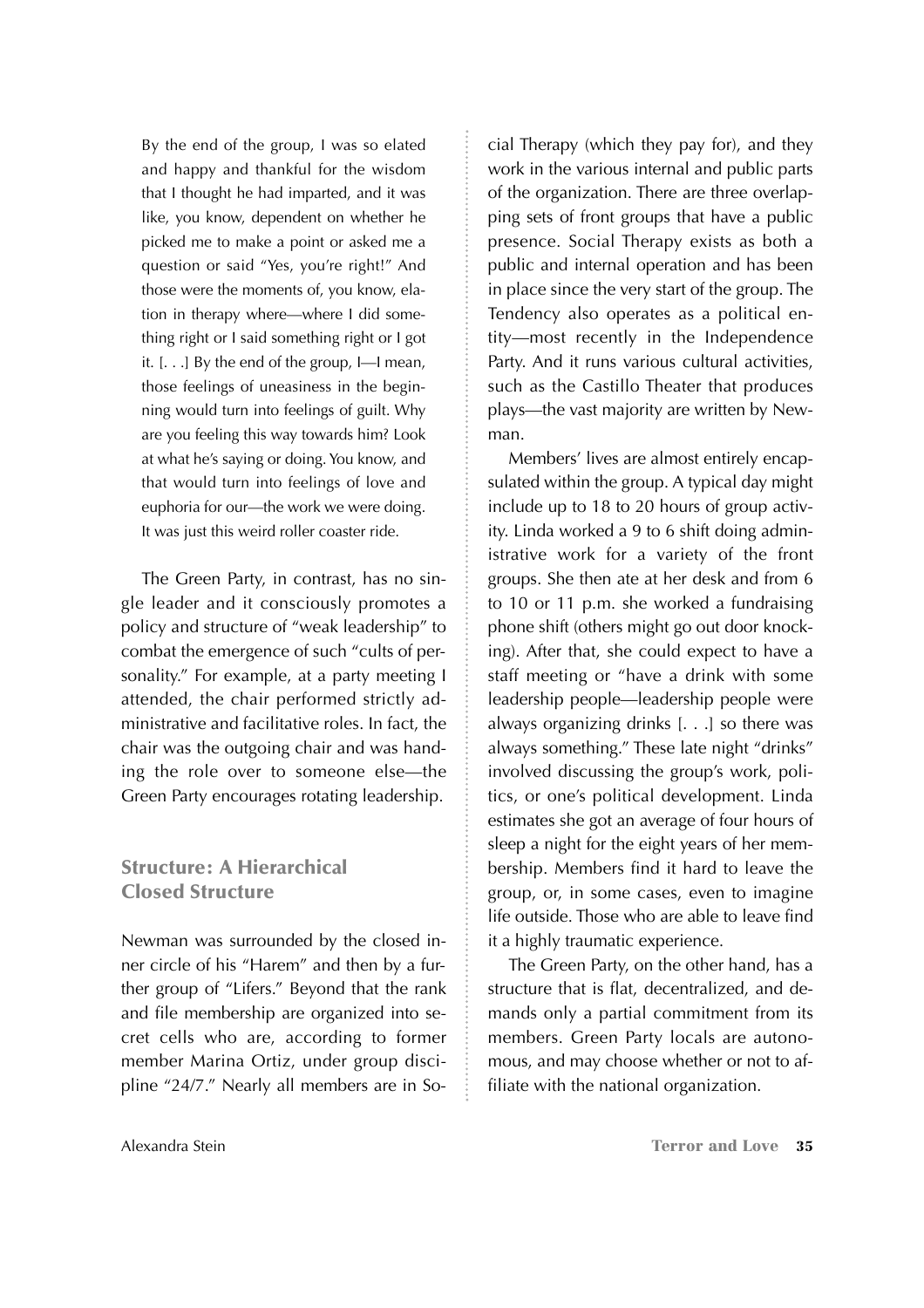By the end of the group, I was so elated and happy and thankful for the wisdom that I thought he had imparted, and it was like, you know, dependent on whether he picked me to make a point or asked me a question or said "Yes, you're right!" And those were the moments of, you know, elation in therapy where—where I did something right or I said something right or I got it. [. . .] By the end of the group, I—I mean, those feelings of uneasiness in the beginning would turn into feelings of guilt. Why are you feeling this way towards him? Look at what he's saying or doing. You know, and that would turn into feelings of love and euphoria for our—the work we were doing. It was just this weird roller coaster ride.

The Green Party, in contrast, has no single leader and it consciously promotes a policy and structure of "weak leadership" to combat the emergence of such "cults of personality." For example, at a party meeting I attended, the chair performed strictly administrative and facilitative roles. In fact, the chair was the outgoing chair and was handing the role over to someone else—the Green Party encourages rotating leadership.

# Structure: A Hierarchical Closed Structure

Newman was surrounded by the closed inner circle of his "Harem" and then by a further group of "Lifers." Beyond that the rank and file membership are organized into secret cells who are, according to former member Marina Ortiz, under group discipline "24/7." Nearly all members are in Social Therapy (which they pay for), and they work in the various internal and public parts of the organization. There are three overlapping sets of front groups that have a public presence. Social Therapy exists as both a public and internal operation and has been in place since the very start of the group. The Tendency also operates as a political entity—most recently in the Independence Party. And it runs various cultural activities, such as the Castillo Theater that produces plays—the vast majority are written by Newman.

Members' lives are almost entirely encapsulated within the group. A typical day might include up to 18 to 20 hours of group activity. Linda worked a 9 to 6 shift doing administrative work for a variety of the front groups. She then ate at her desk and from 6 to 10 or 11 p.m. she worked a fundraising phone shift (others might go out door knocking). After that, she could expect to have a staff meeting or "have a drink with some leadership people—leadership people were always organizing drinks [. . .] so there was always something." These late night "drinks" involved discussing the group's work, politics, or one's political development. Linda estimates she got an average of four hours of sleep a night for the eight years of her membership. Members find it hard to leave the group, or, in some cases, even to imagine life outside. Those who are able to leave find it a highly traumatic experience.

The Green Party, on the other hand, has a structure that is flat, decentralized, and demands only a partial commitment from its members. Green Party locals are autonomous, and may choose whether or not to affiliate with the national organization.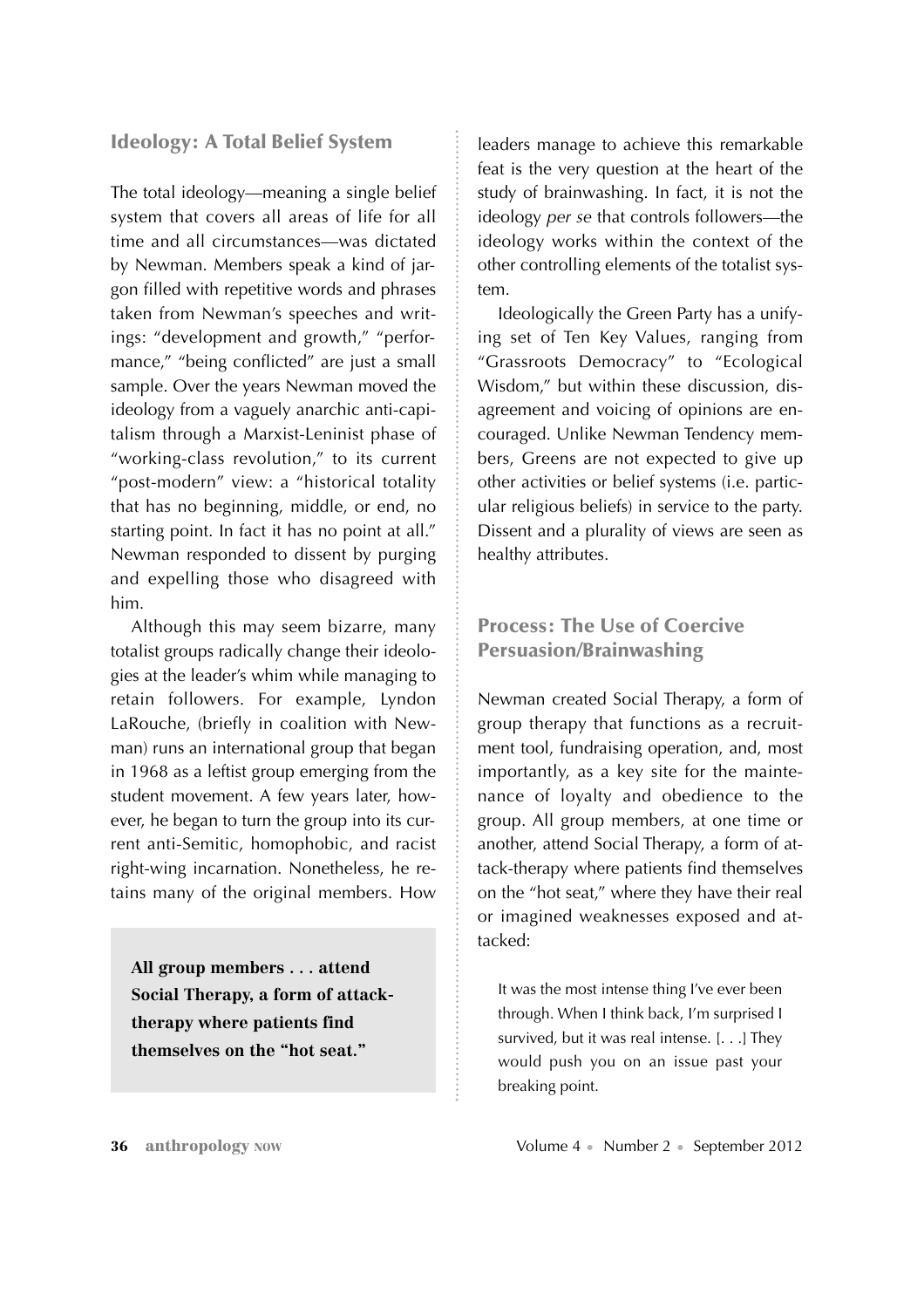### Ideology: A Total Belief System

The total ideology—meaning a single belief system that covers all areas of life for all time and all circumstances—was dictated by Newman. Members speak a kind of jargon filled with repetitive words and phrases taken from Newman's speeches and writings: "development and growth," "performance," "being conflicted" are just a small sample. Over the years Newman moved the ideology from a vaguely anarchic anti-capitalism through a Marxist-Leninist phase of "working-class revolution," to its current "post-modern" view: a "historical totality that has no beginning, middle, or end, no starting point. In fact it has no point at all." Newman responded to dissent by purging and expelling those who disagreed with him.

Although this may seem bizarre, many totalist groups radically change their ideologies at the leader's whim while managing to retain followers. For example, Lyndon LaRouche, (briefly in coalition with Newman) runs an international group that began in 1968 as a leftist group emerging from the student movement. A few years later, however, he began to turn the group into its current anti-Semitic, homophobic, and racist right-wing incarnation. Nonetheless, he retains many of the original members. How

**All group members . . . attend Social Therapy, a form of attacktherapy where patients find themselves on the "hot seat."**

leaders manage to achieve this remarkable feat is the very question at the heart of the study of brainwashing. In fact, it is not the ideology *per se* that controls followers—the ideology works within the context of the other controlling elements of the totalist system.

Ideologically the Green Party has a unifying set of Ten Key Values, ranging from "Grassroots Democracy" to "Ecological Wisdom," but within these discussion, disagreement and voicing of opinions are encouraged. Unlike Newman Tendency members, Greens are not expected to give up other activities or belief systems (i.e. particular religious beliefs) in service to the party. Dissent and a plurality of views are seen as healthy attributes.

## Process: The Use of Coercive Persuasion/Brainwashing

Newman created Social Therapy, a form of group therapy that functions as a recruitment tool, fundraising operation, and, most importantly, as a key site for the maintenance of loyalty and obedience to the group. All group members, at one time or another, attend Social Therapy, a form of attack-therapy where patients find themselves on the "hot seat," where they have their real or imagined weaknesses exposed and attacked:

It was the most intense thing I've ever been through. When I think back, I'm surprised I survived, but it was real intense. [. . .] They would push you on an issue past your breaking point.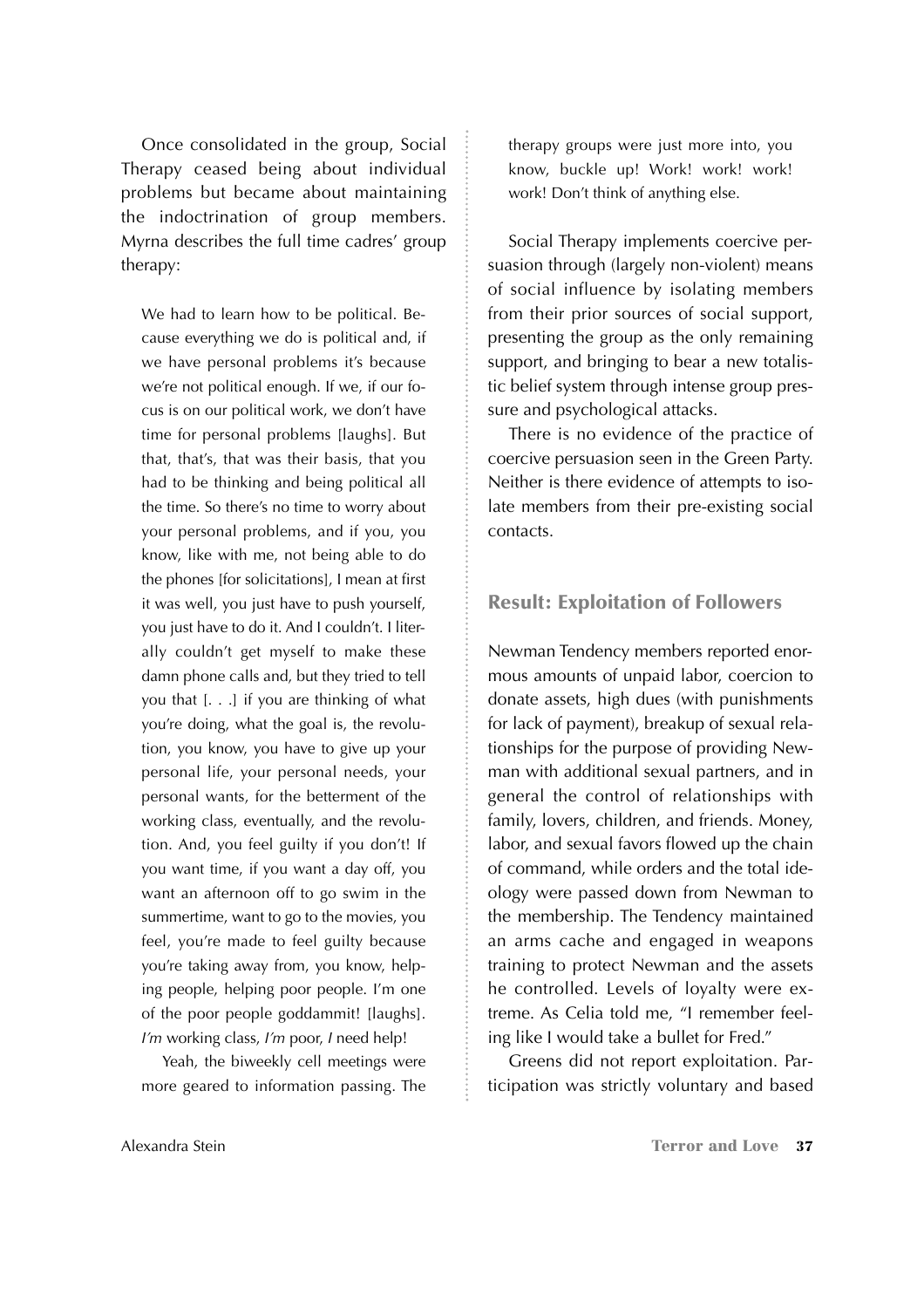Once consolidated in the group, Social Therapy ceased being about individual problems but became about maintaining the indoctrination of group members. Myrna describes the full time cadres' group therapy:

We had to learn how to be political. Because everything we do is political and, if we have personal problems it's because we're not political enough. If we, if our focus is on our political work, we don't have time for personal problems [laughs]. But that, that's, that was their basis, that you had to be thinking and being political all the time. So there's no time to worry about your personal problems, and if you, you know, like with me, not being able to do the phones [for solicitations], I mean at first it was well, you just have to push yourself, you just have to do it. And I couldn't. I literally couldn't get myself to make these damn phone calls and, but they tried to tell you that [. . .] if you are thinking of what you're doing, what the goal is, the revolution, you know, you have to give up your personal life, your personal needs, your personal wants, for the betterment of the working class, eventually, and the revolution. And, you feel guilty if you don't! If you want time, if you want a day off, you want an afternoon off to go swim in the summertime, want to go to the movies, you feel, you're made to feel guilty because you're taking away from, you know, helping people, helping poor people. I'm one of the poor people goddammit! [laughs]. *I'm* working class, *I'm* poor, *I* need help!

Yeah, the biweekly cell meetings were more geared to information passing. The therapy groups were just more into, you know, buckle up! Work! work! work! work! Don't think of anything else.

Social Therapy implements coercive persuasion through (largely non-violent) means of social influence by isolating members from their prior sources of social support, presenting the group as the only remaining support, and bringing to bear a new totalistic belief system through intense group pressure and psychological attacks.

There is no evidence of the practice of coercive persuasion seen in the Green Party. Neither is there evidence of attempts to isolate members from their pre-existing social contacts.

#### Result: Exploitation of Followers

Newman Tendency members reported enormous amounts of unpaid labor, coercion to donate assets, high dues (with punishments for lack of payment), breakup of sexual relationships for the purpose of providing Newman with additional sexual partners, and in general the control of relationships with family, lovers, children, and friends. Money, labor, and sexual favors flowed up the chain of command, while orders and the total ideology were passed down from Newman to the membership. The Tendency maintained an arms cache and engaged in weapons training to protect Newman and the assets he controlled. Levels of loyalty were extreme. As Celia told me, "I remember feeling like I would take a bullet for Fred."

Greens did not report exploitation. Participation was strictly voluntary and based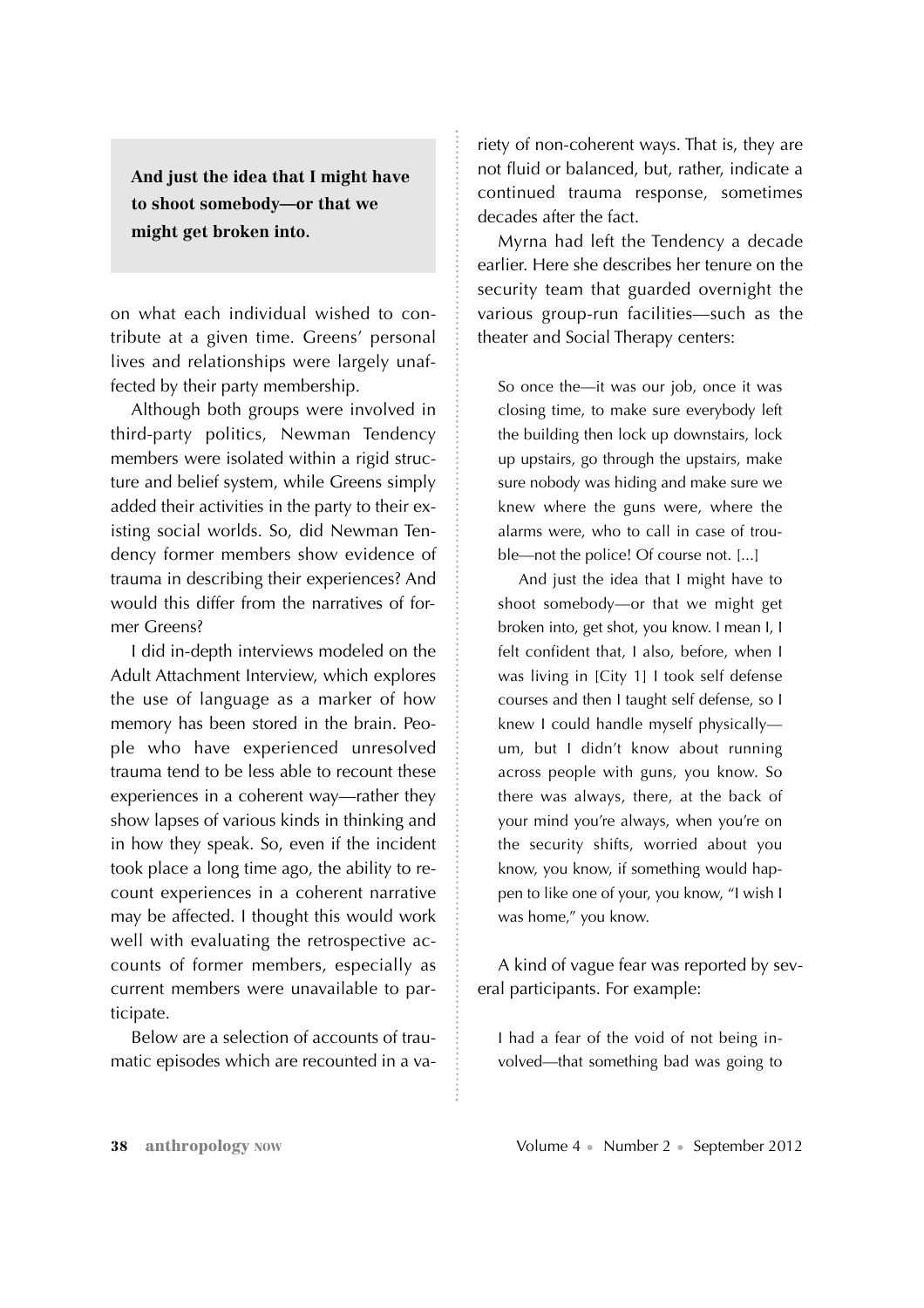**And just the idea that I might have to shoot somebody—or that we might get broken into.**

on what each individual wished to contribute at a given time. Greens' personal lives and relationships were largely unaffected by their party membership.

Although both groups were involved in third-party politics, Newman Tendency members were isolated within a rigid structure and belief system, while Greens simply added their activities in the party to their existing social worlds. So, did Newman Tendency former members show evidence of trauma in describing their experiences? And would this differ from the narratives of former Greens?

I did in-depth interviews modeled on the Adult Attachment Interview, which explores the use of language as a marker of how memory has been stored in the brain. People who have experienced unresolved trauma tend to be less able to recount these experiences in a coherent way—rather they show lapses of various kinds in thinking and in how they speak. So, even if the incident took place a long time ago, the ability to recount experiences in a coherent narrative may be affected. I thought this would work well with evaluating the retrospective accounts of former members, especially as current members were unavailable to participate.

Below are a selection of accounts of traumatic episodes which are recounted in a va-

riety of non-coherent ways. That is, they are not fluid or balanced, but, rather, indicate a continued trauma response, sometimes decades after the fact.

Myrna had left the Tendency a decade earlier. Here she describes her tenure on the security team that guarded overnight the various group-run facilities—such as the theater and Social Therapy centers:

So once the—it was our job, once it was closing time, to make sure everybody left the building then lock up downstairs, lock up upstairs, go through the upstairs, make sure nobody was hiding and make sure we knew where the guns were, where the alarms were, who to call in case of trouble—not the police! Of course not. [...]

And just the idea that I might have to shoot somebody—or that we might get broken into, get shot, you know. I mean I, I felt confident that, I also, before, when I was living in [City 1] I took self defense courses and then I taught self defense, so I knew I could handle myself physically um, but I didn't know about running across people with guns, you know. So there was always, there, at the back of your mind you're always, when you're on the security shifts, worried about you know, you know, if something would happen to like one of your, you know, "I wish I was home," you know.

A kind of vague fear was reported by several participants. For example:

I had a fear of the void of not being involved—that something bad was going to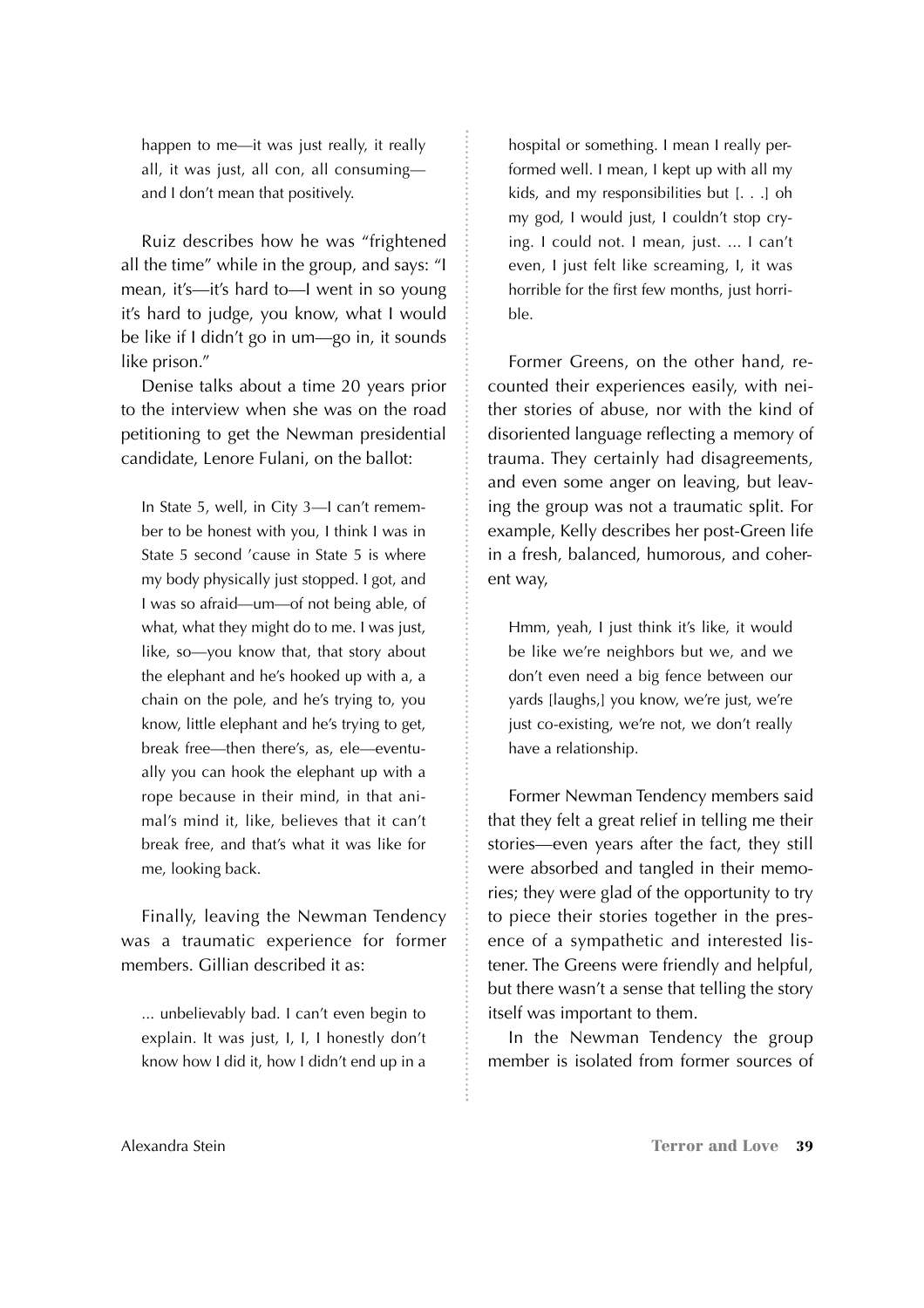happen to me—it was just really, it really all, it was just, all con, all consuming and I don't mean that positively.

Ruiz describes how he was "frightened all the time" while in the group, and says: "I mean, it's—it's hard to—I went in so young it's hard to judge, you know, what I would be like if I didn't go in um—go in, it sounds like prison."

Denise talks about a time 20 years prior to the interview when she was on the road petitioning to get the Newman presidential candidate, Lenore Fulani, on the ballot:

In State 5, well, in City 3—I can't remember to be honest with you, I think I was in State 5 second 'cause in State 5 is where my body physically just stopped. I got, and I was so afraid—um—of not being able, of what, what they might do to me. I was just, like, so—you know that, that story about the elephant and he's hooked up with a, a chain on the pole, and he's trying to, you know, little elephant and he's trying to get, break free—then there's, as, ele—eventually you can hook the elephant up with a rope because in their mind, in that animal's mind it, like, believes that it can't break free, and that's what it was like for me, looking back.

Finally, leaving the Newman Tendency was a traumatic experience for former members. Gillian described it as:

... unbelievably bad. I can't even begin to explain. It was just, I, I, I honestly don't know how I did it, how I didn't end up in a hospital or something. I mean I really performed well. I mean, I kept up with all my kids, and my responsibilities but [. . .] oh my god, I would just, I couldn't stop crying. I could not. I mean, just. ... I can't even, I just felt like screaming, I, it was horrible for the first few months, just horrible.

Former Greens, on the other hand, recounted their experiences easily, with neither stories of abuse, nor with the kind of disoriented language reflecting a memory of trauma. They certainly had disagreements, and even some anger on leaving, but leaving the group was not a traumatic split. For example, Kelly describes her post-Green life in a fresh, balanced, humorous, and coherent way,

Hmm, yeah, I just think it's like, it would be like we're neighbors but we, and we don't even need a big fence between our yards [laughs,] you know, we're just, we're just co-existing, we're not, we don't really have a relationship.

Former Newman Tendency members said that they felt a great relief in telling me their stories—even years after the fact, they still were absorbed and tangled in their memories; they were glad of the opportunity to try to piece their stories together in the presence of a sympathetic and interested listener. The Greens were friendly and helpful, but there wasn't a sense that telling the story itself was important to them.

In the Newman Tendency the group member is isolated from former sources of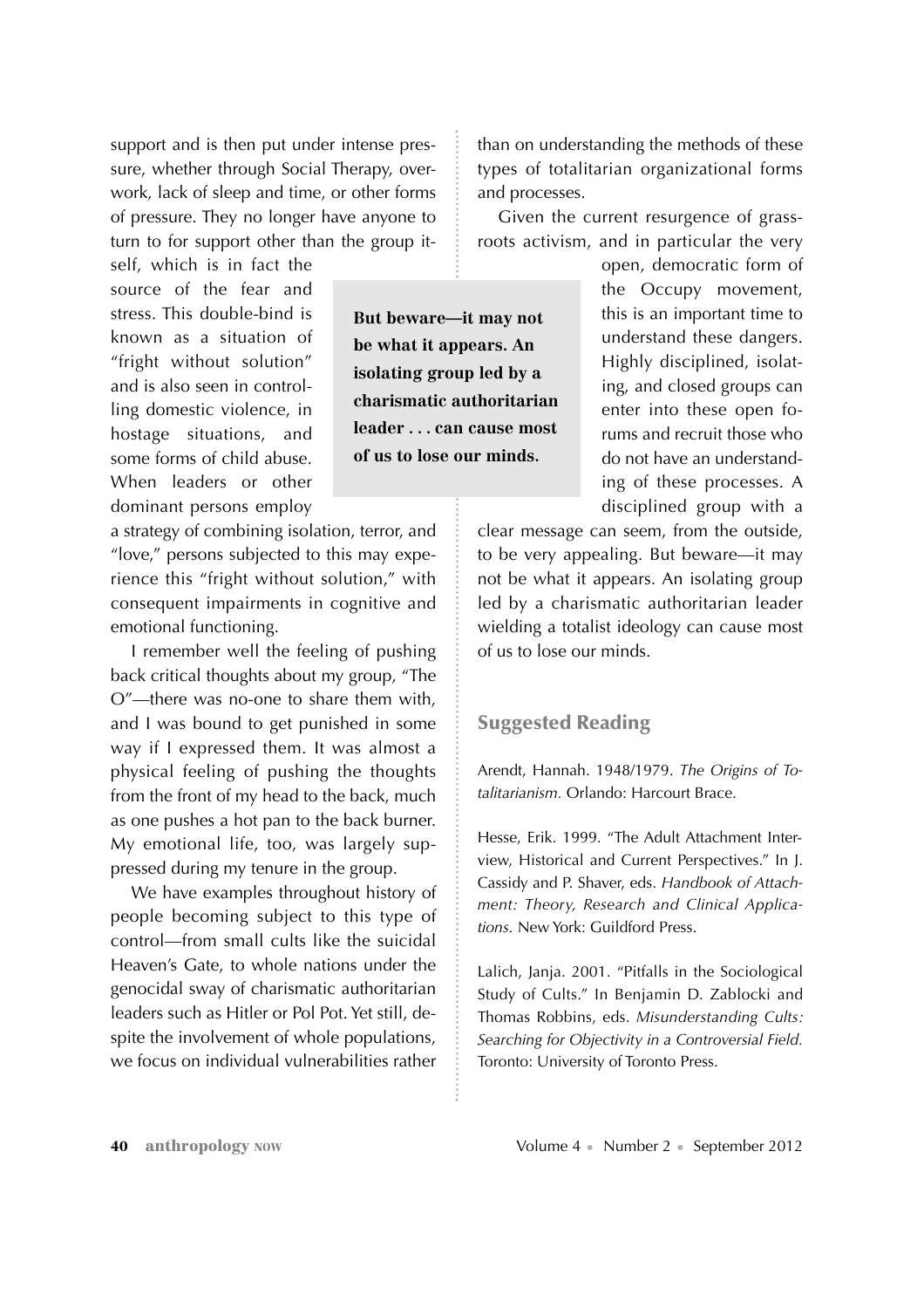support and is then put under intense pressure, whether through Social Therapy, overwork, lack of sleep and time, or other forms of pressure. They no longer have anyone to turn to for support other than the group it-

self, which is in fact the source of the fear and stress. This double-bind is known as a situation of "fright without solution" and is also seen in controlling domestic violence, in hostage situations, and some forms of child abuse. When leaders or other dominant persons employ

a strategy of combining isolation, terror, and "love," persons subjected to this may experience this "fright without solution," with consequent impairments in cognitive and emotional functioning.

I remember well the feeling of pushing back critical thoughts about my group, "The O"—there was no-one to share them with, and I was bound to get punished in some way if I expressed them. It was almost a physical feeling of pushing the thoughts from the front of my head to the back, much as one pushes a hot pan to the back burner. My emotional life, too, was largely suppressed during my tenure in the group.

We have examples throughout history of people becoming subject to this type of control—from small cults like the suicidal Heaven's Gate, to whole nations under the genocidal sway of charismatic authoritarian leaders such as Hitler or Pol Pot. Yet still, despite the involvement of whole populations, we focus on individual vulnerabilities rather

**But beware—it may not be what it appears. An isolating group led by a charismatic authoritarian leader . . . can cause most of us to lose our minds.**

than on understanding the methods of these types of totalitarian organizational forms and processes.

Given the current resurgence of grassroots activism, and in particular the very

> open, democratic form of the Occupy movement, this is an important time to understand these dangers. Highly disciplined, isolating, and closed groups can enter into these open forums and recruit those who do not have an understanding of these processes. A disciplined group with a

clear message can seem, from the outside, to be very appealing. But beware—it may not be what it appears. An isolating group led by a charismatic authoritarian leader wielding a totalist ideology can cause most of us to lose our minds.

#### Suggested Reading

Arendt, Hannah. 1948/1979. *The Origins of Totalitarianism.* Orlando: Harcourt Brace.

Hesse, Erik. 1999. "The Adult Attachment Interview, Historical and Current Perspectives." In J. Cassidy and P. Shaver, eds. *Handbook of Attachment: Theory, Research and Clinical Applications.* New York: Guildford Press.

Lalich, Janja. 2001. "Pitfalls in the Sociological Study of Cults." In Benjamin D. Zablocki and Thomas Robbins, eds. *Misunderstanding Cults: Searching for Objectivity in a Controversial Field.* Toronto: University of Toronto Press.